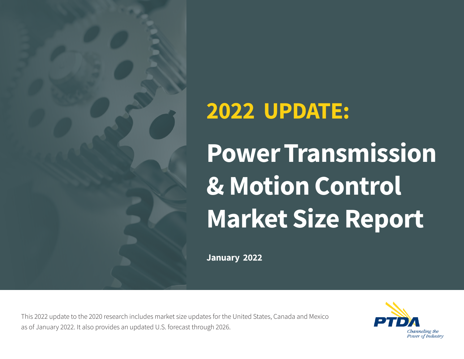

## **2022 UPDATE:**

# **Power Transmission & Motion Control Market Size Report**

**January 2022**

This 2022 update to the 2020 research includes market size updates for the United States, Canada and Mexico as of January 2022. It also provides an updated U.S. forecast through 2026.

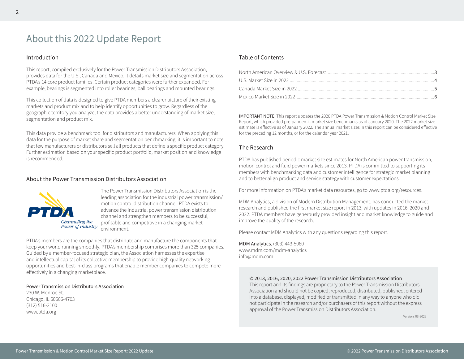## About this 2022 Update Report

#### Introduction

This report, compiled exclusively for the Power Transmission Distributors Association, provides data for the U.S., Canada and Mexico. It details market size and segmentation across PTDA's 14 core product families. Certain product categories were further expanded. For example, bearings is segmented into roller bearings, ball bearings and mounted bearings.

This collection of data is designed to give PTDA members a clearer picture of their existing markets and product mix and to help identify opportunities to grow. Regardless of the geographic territory you analyze, the data provides a better understanding of market size, segmentation and product mix.

This data provide a benchmark tool for distributors and manufacturers. When applying this data for the purpose of market share and segmentation benchmarking, it is important to note that few manufacturers or distributors sell all products that define a specific product category. Further estimation based on your specific product portfolio, market position and knowledge is recommended.

#### About the Power Transmission Distributors Association



The Power Transmission Distributors Association is the leading association for the industrial power transmission/ motion control distribution channel. PTDA exists to advance the industrial power transmission distribution channel and strengthen members to be successful, profitable and competitive in a changing market environment.

PTDA's members are the companies that distribute and manufacture the components that keep your world running smoothly. PTDA's membership comprises more than 325 companies. Guided by a member-focused strategic plan, the Association harnesses the expertise and intellectual capital of its collective membership to provide high-quality networking opportunities and best-in-class programs that enable member companies to compete more effectively in a changing marketplace.

#### Power Transmission Distributors Association

230 W. Monroe St. Chicago, IL 60606-4703 (312) 516-2100 www.ptda.org

#### Table of Contents

IMPORTANT NOTE: This report updates the 2020 PTDA Power Transmission & Motion Control Market Size Report, which provided pre-pandemic market size benchmarks as of January 2020. The 2022 market size estimate is effective as of January 2022. The annual market sizes in this report can be considered effective for the preceding 12 months, or for the calendar year 2021.

#### The Research

PTDA has published periodic market size estimates for North American power transmission, motion control and fluid power markets since 2013. PTDA is committed to supporting its members with benchmarking data and customer intelligence for strategic market planning and to better align product and service strategy with customer expectations.

For more information on PTDA's market data resources, go to www.ptda.org/resources.

MDM Analytics, a division of Modern Distribution Management, has conducted the market research and published the first market size report in 2013, with updates in 2016, 2020 and 2022. PTDA members have generously provided insight and market knowledge to guide and improve the quality of the research.

Please contact MDM Analytics with any questions regarding this report.

MDM Analytics, (303) 443-5060 www.mdm.com/mdm-analytics info@mdm.com

#### © 2013, 2016, 2020, 2022 Power Transmission Distributors Association

This report and its findings are proprietary to the Power Transmission Distributors Association and should not be copied, reproduced, distributed, published, entered into a database, displayed, modified or transmitted in any way to anyone who did not participate in the research and/or purchasers of this report without the express approval of the Power Transmission Distributors Association.

Version: 03-2022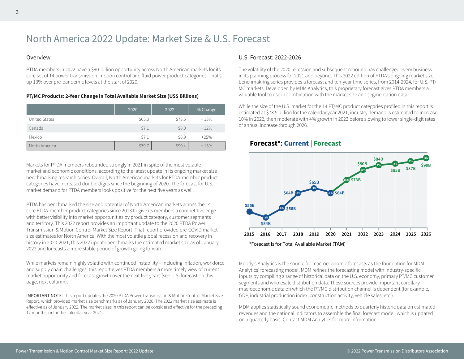## North America 2022 Update: Market Size & U.S. Forecast

#### Overview

PTDA members in 2022 have a \$90-billion opportunity across North American markets for its core set of 14 power transmission, motion control and fluid power product categories. That's up 13% over pre-pandemic levels at the start of 2020.

#### **PT/MC Products: 2-Year Change in Total Available Market Size (US\$ Billions)**

|               | 2020   | 2022   | % Change |
|---------------|--------|--------|----------|
| United States | \$65.3 | \$73.5 | $+13%$   |
| Canada        | \$7.1  | \$8.0  | $+12%$   |
| Mexico        | \$7.1  | \$8.9  | $+25%$   |
| North America | \$79.7 | \$90.4 | $+13%$   |

Markets for PTDA members rebounded strongly in 2021 in spite of the most volatile market and economic conditions, according to the latest update in its ongoing market size benchmarking research series. Overall, North American markets for PTDA-member product categories have increased double digits since the beginning of 2020. The forecast for U.S. market demand for PTDA members looks positive for the next five years as well.

PTDA has benchmarked the size and potential of North American markets across the 14 core PTDA-member product categories since 2013 to give its members a competitive edge with better visibility into market opportunities by product category, customer segments and territory. This 2022 report provides an important update to the 2020 PTDA Power Transmission & Motion Control Market Size Report. That report provided pre-COVID market size estimates for North America. With the most volatile global recession and recovery in history in 2020-2021, this 2022 update benchmarks the estimated market size as of January 2022 and forecasts a more stable period of growth going forward.

While markets remain highly volatile with continued instability – including inflation, workforce and supply chain challenges, this report gives PTDA members a more timely view of current market opportunity and forecast growth over the next five years (see U.S. forecast on this page, next column).

IMPORTANT NOTE: This report updates the 2020 PTDA Power Transmission & Motion Control Market Size Report, which provided market size benchmarks as of January 2020. The 2022 market size estimate is effective as of January 2022. The market sizes in this report can be considered effective for the preceding 12 months, or for the calendar year 2021.

#### U.S. Forecast: 2022-2026

The volatility of the 2020 recession and subsequent rebound has challenged every business in its planning process for 2021 and beyond. This 2022 edition of PTDA's ongoing market size benchmakring series provides a forecast and ten-year time series, from 2014-2024, for U.S. PT/ MC markets. Developed by MDM Analytics, this proprietary forecast gives PTDA members a valuable tool to use in combination with the market size and segmentation data.

While the size of the U.S. market for the 14 PT/MC product categories profiled in this report is estimated at \$73.5 billion for the calendar year 2021, industry demand is estimated to increase 10% in 2022, then moderate with 4% growth in 2023 before slowing to lower single-digit rates of annual increase through 2026.



#### **Forecast\*: Current | Forecast**

Moody's Analytics is the source for macroeconomic forecasts as the foundation for MDM Analytics' forecasting model. MDM refines the forecasting model with industry-specific inputs by compiling a range of historical data on the U.S. economy, primary PT/MC customer segments and wholesale distribution data. These sources provide important corollary macroeconomic data on which the PT/MC distribution channel is dependent (for example, GDP, industrial production index, construction activity, vehicle sales, etc.).

MDM applies statistically sound econometric methods to quarterly historic data on estimated revenues and the national indicators to assemble the final forecast model, which is updated on a quarterly basis. Contact MDM Analytics for more information.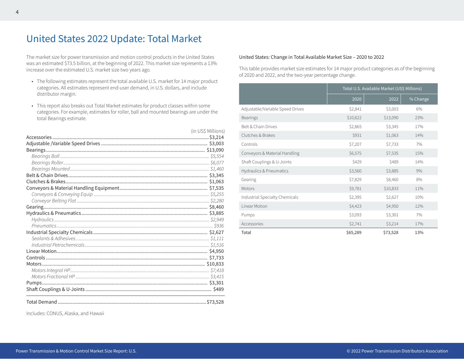## United States 2022 Update: Total Market

The market size for power transmission and motion control products in the United States was an estimated \$73.5 billion, at the beginning of 2022. This market size represents a 13% increase over the estimated U.S. market size two years ago.

- The following estimates represent the total available U.S. market for 14 major product categories. All estimates represent end-user demand, in U.S. dollars, and include distributor margin.
- This report also breaks out Total Market estimates for product classes within some categories. For example, estimates for roller, ball and mounted bearings are under the total Bearings estimate.

| (in US\$ Millions) |
|--------------------|
|                    |
|                    |
|                    |
|                    |
|                    |
|                    |
|                    |
|                    |
|                    |
|                    |
|                    |
|                    |
|                    |
|                    |
|                    |
|                    |
|                    |
|                    |
|                    |
|                    |
|                    |
|                    |
|                    |
|                    |
|                    |
|                    |

Includes: CONUS, Alaska, and Hawaii

#### United States: Change in Total Available Market Size – 2020 to 2022

This table provides market size estimates for 14 major product categories as of the beginning of 2020 and 2022, and the two-year percentage change.

|                                    | Total U.S. Available Market (US\$ Millions) |          |          |
|------------------------------------|---------------------------------------------|----------|----------|
|                                    | 2020                                        | 2022     | % Change |
| Adjustable/Variable Speed Drives   | \$2,841                                     | \$3,003  | 6%       |
| <b>Bearings</b>                    | \$10,622                                    | \$13,090 | 23%      |
| Belt & Chain Drives                | \$2,865                                     | \$3,345  | 17%      |
| Clutches & Brakes                  | \$931                                       | \$1,063  | 14%      |
| Controls                           | \$7,207                                     | \$7,733  | 7%       |
| Conveyors & Material Handling      | \$6,575                                     | \$7,535  | 15%      |
| Shaft Couplings & U-Joints         | \$429                                       | \$489    | 14%      |
| <b>Hydraulics &amp; Pneumatics</b> | \$3,560                                     | \$3,885  | 9%       |
| Gearing                            | \$7,829                                     | \$8,460  | 8%       |
| Motors                             | \$9,781                                     | \$10,833 | 11%      |
| Industrial Specialty Chemicals     | \$2,395                                     | \$2,627  | 10%      |
| Linear Motion                      | \$4,423                                     | \$4,950  | 12%      |
| Pumps                              | \$3,093                                     | \$3,301  | 7%       |
| Accessories                        | \$2,741                                     | \$3,214  | 17%      |
| Total                              | \$65,289                                    | \$73,528 | 13%      |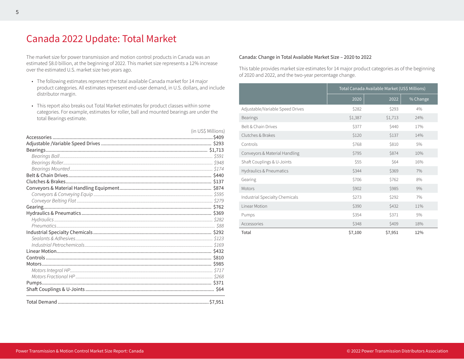## Canada 2022 Update: Total Market

The market size for power transmission and motion control products in Canada was an estimated \$8.0 billion, at the beginning of 2022. This market size represents a 12% increase over the estimated U.S. market size two years ago.

- The following estimates represent the total available Canada market for 14 major product categories. All estimates represent end-user demand, in U.S. dollars, and include distributor margin.
- This report also breaks out Total Market estimates for product classes within some categories. For example, estimates for roller, ball and mounted bearings are under the total Bearings estimate.

| (in US\$ Millions) |
|--------------------|
|                    |
|                    |
|                    |
|                    |
|                    |
|                    |
|                    |
|                    |
|                    |
|                    |
|                    |
|                    |
|                    |
|                    |
|                    |
|                    |
|                    |
|                    |
|                    |
|                    |
|                    |
|                    |
|                    |
|                    |
|                    |
|                    |

#### Canada: Change in Total Available Market Size – 2020 to 2022

This table provides market size estimates for 14 major product categories as of the beginning of 2020 and 2022, and the two-year percentage change.

|                                  | Total Canada Available Market (US\$ Millions) |         |          |
|----------------------------------|-----------------------------------------------|---------|----------|
|                                  | 2020                                          | 2022    | % Change |
| Adjustable/Variable Speed Drives | \$282                                         | \$293   | 4%       |
| <b>Bearings</b>                  | \$1,387                                       | \$1,713 | 24%      |
| Belt & Chain Drives              | \$377                                         | \$440   | 17%      |
| Clutches & Brakes                | \$120                                         | \$137   | 14%      |
| Controls                         | \$768                                         | \$810   | 5%       |
| Conveyors & Material Handling    | \$795                                         | \$874   | 10%      |
| Shaft Couplings & U-Joints       | \$55                                          | \$64    | 16%      |
| Hydraulics & Pneumatics          | \$344                                         | \$369   | 7%       |
| Gearing                          | \$706                                         | \$762   | 8%       |
| Motors                           | \$902                                         | \$985   | 9%       |
| Industrial Specialty Chemicals   | \$273                                         | \$292   | 7%       |
| Linear Motion                    | \$390                                         | \$432   | 11%      |
| Pumps                            | \$354                                         | \$371   | 5%       |
| Accessories                      | \$348                                         | \$409   | 18%      |
| Total                            | \$7,100                                       | \$7,951 | 12%      |